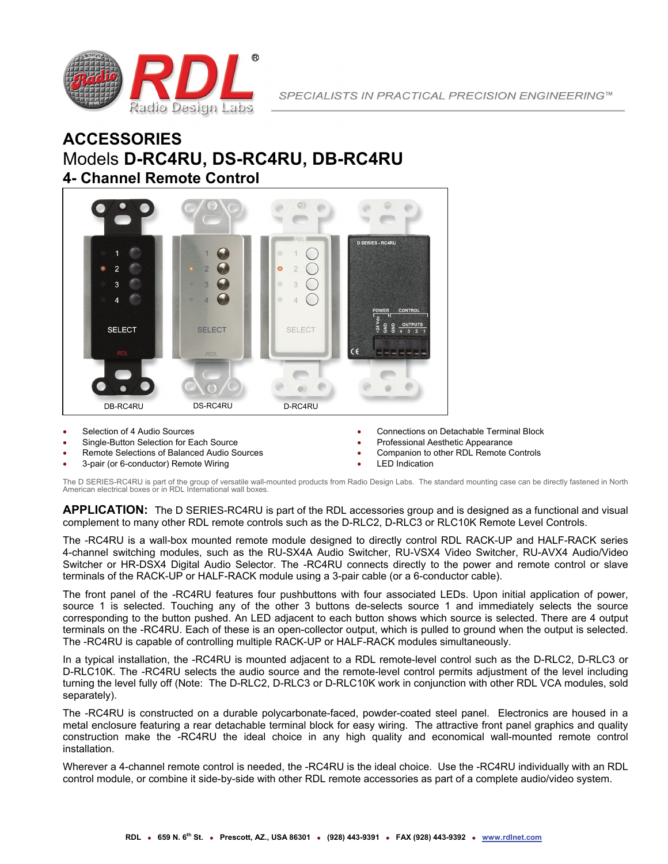

## **ACCESSORIES** Models **D-RC4RU, DS-RC4RU, DB-RC4RU 4- Channel Remote Control**



- Selection of 4 Audio Sources
- Single-Button Selection for Each Source
- Remote Selections of Balanced Audio Sources
- 3-pair (or 6-conductor) Remote Wiring
- Connections on Detachable Terminal Block
- Professional Aesthetic Appearance
- Companion to other RDL Remote Controls
- LED Indication

The D SERIES-RC4RU is part of the group of versatile wall-mounted products from Radio Design Labs. The standard mounting case can be directly fastened in North American electrical boxes or in RDL International wall boxes.

**APPLICATION:** The D SERIES-RC4RU is part of the RDL accessories group and is designed as a functional and visual complement to many other RDL remote controls such as the D-RLC2, D-RLC3 or RLC10K Remote Level Controls.

The -RC4RU is a wall-box mounted remote module designed to directly control RDL RACK-UP and HALF-RACK series 4-channel switching modules, such as the RU-SX4A Audio Switcher, RU-VSX4 Video Switcher, RU-AVX4 Audio/Video Switcher or HR-DSX4 Digital Audio Selector. The -RC4RU connects directly to the power and remote control or slave terminals of the RACK-UP or HALF-RACK module using a 3-pair cable (or a 6-conductor cable).

The front panel of the -RC4RU features four pushbuttons with four associated LEDs. Upon initial application of power, source 1 is selected. Touching any of the other 3 buttons de-selects source 1 and immediately selects the source corresponding to the button pushed. An LED adjacent to each button shows which source is selected. There are 4 output terminals on the -RC4RU. Each of these is an open-collector output, which is pulled to ground when the output is selected. The -RC4RU is capable of controlling multiple RACK-UP or HALF-RACK modules simultaneously.

In a typical installation, the -RC4RU is mounted adjacent to a RDL remote-level control such as the D-RLC2, D-RLC3 or D-RLC10K. The -RC4RU selects the audio source and the remote-level control permits adjustment of the level including turning the level fully off (Note: The D-RLC2, D-RLC3 or D-RLC10K work in conjunction with other RDL VCA modules, sold separately).

The -RC4RU is constructed on a durable polycarbonate-faced, powder-coated steel panel. Electronics are housed in a metal enclosure featuring a rear detachable terminal block for easy wiring. The attractive front panel graphics and quality construction make the -RC4RU the ideal choice in any high quality and economical wall-mounted remote control installation.

Wherever a 4-channel remote control is needed, the -RC4RU is the ideal choice. Use the -RC4RU individually with an RDL control module, or combine it side-by-side with other RDL remote accessories as part of a complete audio/video system.